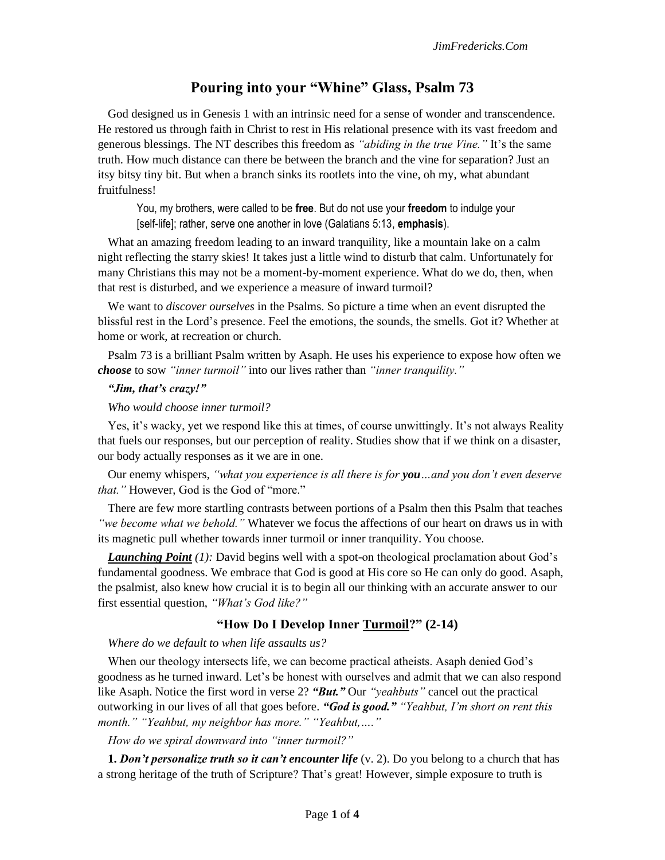# **Pouring into your "Whine" Glass, Psalm 73**

God designed us in Genesis 1 with an intrinsic need for a sense of wonder and transcendence. He restored us through faith in Christ to rest in His relational presence with its vast freedom and generous blessings. The NT describes this freedom as *"abiding in the true Vine."* It's the same truth. How much distance can there be between the branch and the vine for separation? Just an itsy bitsy tiny bit. But when a branch sinks its rootlets into the vine, oh my, what abundant fruitfulness!

You, my brothers, were called to be **free**. But do not use your **freedom** to indulge your [self-life]; rather, serve one another in love (Galatians 5:13, **emphasis**).

What an amazing freedom leading to an inward tranquility, like a mountain lake on a calm night reflecting the starry skies! It takes just a little wind to disturb that calm. Unfortunately for many Christians this may not be a moment-by-moment experience. What do we do, then, when that rest is disturbed, and we experience a measure of inward turmoil?

We want to *discover ourselves* in the Psalms. So picture a time when an event disrupted the blissful rest in the Lord's presence. Feel the emotions, the sounds, the smells. Got it? Whether at home or work, at recreation or church.

Psalm 73 is a brilliant Psalm written by Asaph. He uses his experience to expose how often we *choose* to sow *"inner turmoil"* into our lives rather than *"inner tranquility."* 

#### *"Jim, that's crazy!"*

#### *Who would choose inner turmoil?*

Yes, it's wacky, yet we respond like this at times, of course unwittingly. It's not always Reality that fuels our responses, but our perception of reality. Studies show that if we think on a disaster, our body actually responses as it we are in one.

Our enemy whispers, *"what you experience is all there is for you…and you don't even deserve that."* However, God is the God of "more."

There are few more startling contrasts between portions of a Psalm then this Psalm that teaches *"we become what we behold."* Whatever we focus the affections of our heart on draws us in with its magnetic pull whether towards inner turmoil or inner tranquility. You choose.

*Launching Point (1):* David begins well with a spot-on theological proclamation about God's fundamental goodness. We embrace that God is good at His core so He can only do good. Asaph, the psalmist, also knew how crucial it is to begin all our thinking with an accurate answer to our first essential question, *"What's God like?"*

#### **"How Do I Develop Inner Turmoil?" (2-14)**

*Where do we default to when life assaults us?* 

When our theology intersects life, we can become practical atheists. Asaph denied God's goodness as he turned inward. Let's be honest with ourselves and admit that we can also respond like Asaph. Notice the first word in verse 2? *"But."* Our *"yeahbuts"* cancel out the practical outworking in our lives of all that goes before. *"God is good." "Yeahbut, I'm short on rent this month." "Yeahbut, my neighbor has more." "Yeahbut,…."*

*How do we spiral downward into "inner turmoil?"*

**1.** *Don't personalize truth so it can't encounter life* (v. 2). Do you belong to a church that has a strong heritage of the truth of Scripture? That's great! However, simple exposure to truth is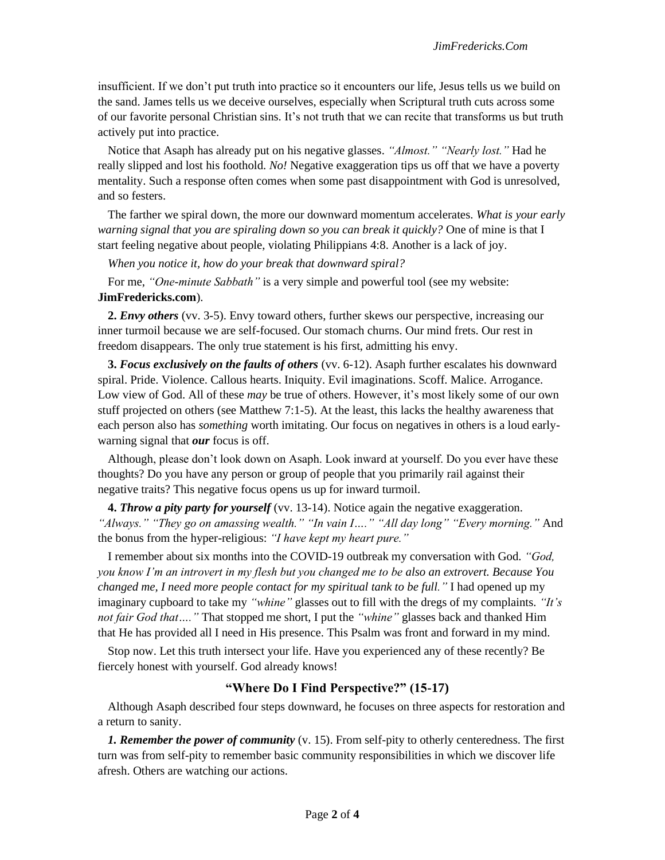insufficient. If we don't put truth into practice so it encounters our life, Jesus tells us we build on the sand. James tells us we deceive ourselves, especially when Scriptural truth cuts across some of our favorite personal Christian sins. It's not truth that we can recite that transforms us but truth actively put into practice.

Notice that Asaph has already put on his negative glasses. *"Almost." "Nearly lost."* Had he really slipped and lost his foothold. *No!* Negative exaggeration tips us off that we have a poverty mentality. Such a response often comes when some past disappointment with God is unresolved, and so festers.

The farther we spiral down, the more our downward momentum accelerates. *What is your early warning signal that you are spiraling down so you can break it quickly?* One of mine is that I start feeling negative about people, violating Philippians 4:8. Another is a lack of joy.

*When you notice it, how do your break that downward spiral?* 

For me, *"One-minute Sabbath"* is a very simple and powerful tool (see my website: **JimFredericks.com**).

**2.** *Envy others* (vv. 3-5). Envy toward others, further skews our perspective, increasing our inner turmoil because we are self-focused. Our stomach churns. Our mind frets. Our rest in freedom disappears. The only true statement is his first, admitting his envy.

**3.** *Focus exclusively on the faults of others* (vv. 6-12). Asaph further escalates his downward spiral. Pride. Violence. Callous hearts. Iniquity. Evil imaginations. Scoff. Malice. Arrogance. Low view of God. All of these *may* be true of others. However, it's most likely some of our own stuff projected on others (see Matthew 7:1-5). At the least, this lacks the healthy awareness that each person also has *something* worth imitating. Our focus on negatives in others is a loud earlywarning signal that *our* focus is off.

Although, please don't look down on Asaph. Look inward at yourself. Do you ever have these thoughts? Do you have any person or group of people that you primarily rail against their negative traits? This negative focus opens us up for inward turmoil.

**4.** *Throw a pity party for yourself* (vv. 13-14). Notice again the negative exaggeration. *"Always." "They go on amassing wealth." "In vain I…." "All day long" "Every morning."* And the bonus from the hyper-religious: *"I have kept my heart pure."*

I remember about six months into the COVID-19 outbreak my conversation with God. *"God, you know I'm an introvert in my flesh but you changed me to be also an extrovert. Because You changed me, I need more people contact for my spiritual tank to be full."* I had opened up my imaginary cupboard to take my *"whine"* glasses out to fill with the dregs of my complaints. *"It's not fair God that…."* That stopped me short, I put the *"whine"* glasses back and thanked Him that He has provided all I need in His presence. This Psalm was front and forward in my mind.

Stop now. Let this truth intersect your life. Have you experienced any of these recently? Be fiercely honest with yourself. God already knows!

#### **"Where Do I Find Perspective?" (15-17)**

Although Asaph described four steps downward, he focuses on three aspects for restoration and a return to sanity.

*1. Remember the power of community* (v. 15). From self-pity to otherly centeredness. The first turn was from self-pity to remember basic community responsibilities in which we discover life afresh. Others are watching our actions.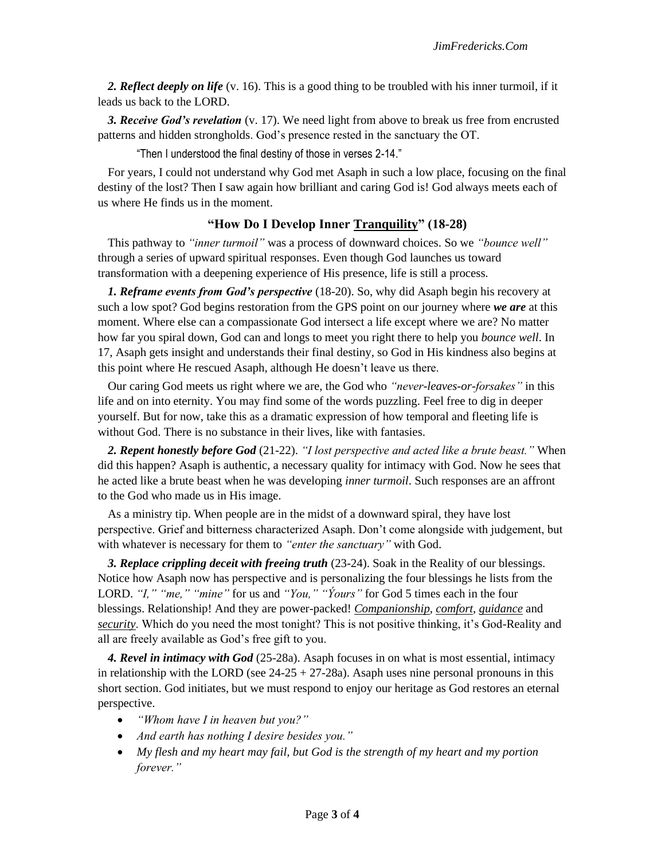*2. Reflect deeply on life* (v. 16). This is a good thing to be troubled with his inner turmoil, if it leads us back to the LORD.

*3. Receive God's revelation* (v. 17). We need light from above to break us free from encrusted patterns and hidden strongholds. God's presence rested in the sanctuary the OT.

"Then I understood the final destiny of those in verses 2-14."

For years, I could not understand why God met Asaph in such a low place, focusing on the final destiny of the lost? Then I saw again how brilliant and caring God is! God always meets each of us where He finds us in the moment.

## **"How Do I Develop Inner Tranquility" (18-28)**

This pathway to *"inner turmoil"* was a process of downward choices. So we *"bounce well"* through a series of upward spiritual responses. Even though God launches us toward transformation with a deepening experience of His presence, life is still a process.

*1. Reframe events from God's perspective* (18-20). So, why did Asaph begin his recovery at such a low spot? God begins restoration from the GPS point on our journey where *we are* at this moment. Where else can a compassionate God intersect a life except where we are? No matter how far you spiral down, God can and longs to meet you right there to help you *bounce well*. In 17, Asaph gets insight and understands their final destiny, so God in His kindness also begins at this point where He rescued Asaph, although He doesn't leave us there.

Our caring God meets us right where we are, the God who *"never-leaves-or-forsakes"* in this life and on into eternity. You may find some of the words puzzling. Feel free to dig in deeper yourself. But for now, take this as a dramatic expression of how temporal and fleeting life is without God. There is no substance in their lives, like with fantasies.

*2. Repent honestly before God* (21-22). *"I lost perspective and acted like a brute beast."* When did this happen? Asaph is authentic, a necessary quality for intimacy with God. Now he sees that he acted like a brute beast when he was developing *inner turmoil*. Such responses are an affront to the God who made us in His image.

As a ministry tip. When people are in the midst of a downward spiral, they have lost perspective. Grief and bitterness characterized Asaph. Don't come alongside with judgement, but with whatever is necessary for them to *"enter the sanctuary"* with God.

*3. Replace crippling deceit with freeing truth* (23-24). Soak in the Reality of our blessings. Notice how Asaph now has perspective and is personalizing the four blessings he lists from the LORD. *"I," "me," "mine"* for us and *"You," "Ýours"* for God 5 times each in the four blessings. Relationship! And they are power-packed! *Companionship*, *comfort*, *guidance* and *security*. Which do you need the most tonight? This is not positive thinking, it's God-Reality and all are freely available as God's free gift to you.

*4. Revel in intimacy with God* (25-28a). Asaph focuses in on what is most essential, intimacy in relationship with the LORD (see  $24-25 + 27-28a$ ). Asaph uses nine personal pronouns in this short section. God initiates, but we must respond to enjoy our heritage as God restores an eternal perspective.

- *"Whom have I in heaven but you?"*
- *And earth has nothing I desire besides you."*
- *My flesh and my heart may fail, but God is the strength of my heart and my portion forever."*